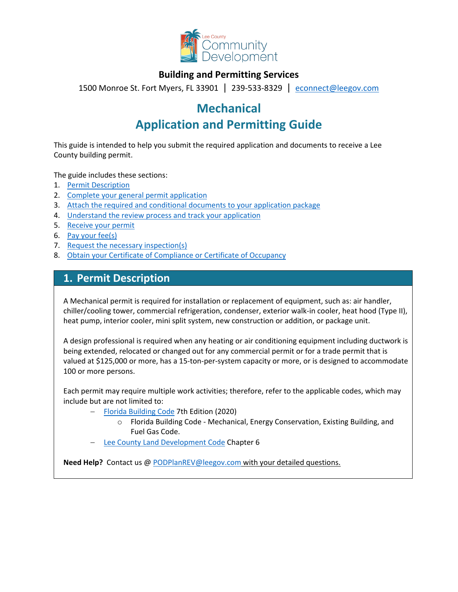

### **Building and Permitting Services**

1500 Monroe St. Fort Myers, FL 33901 | 239-533-8329 |[econnect@leegov.com](mailto:econnect@leegov.com)

# **Mechanical**

# **Application and Permitting Guide**

This guide is intended to help you submit the required application and documents to receive a Lee County building permit.

The guide includes these sections:

- 1. [Permit Description](#page-0-0)
- 2. [Complete your general permit application](#page-1-0)
- 3. [Attach the required and conditional documents to your application package](#page-3-0)
- 4. [Understand the review process and track your application](#page-5-0)
- 5. [Receive your permit](#page-6-0)
- 6. [Pay your fee\(s\)](#page-6-1)
- 7. [Request the necessary inspection\(s\)](#page-7-0)
- 8. [Obtain your Certificate of Compliance or Certificate of Occupancy](#page-7-1)

### <span id="page-0-0"></span>**1. Permit Description**

A Mechanical permit is required for installation or replacement of equipment, such as: air handler, chiller/cooling tower, commercial refrigeration, condenser, exterior walk-in cooler, heat hood (Type II), heat pump, interior cooler, mini split system, new construction or addition, or package unit.

A design professional is required when any heating or air conditioning equipment including ductwork is being extended, relocated or changed out for any commercial permit or for a trade permit that is valued at \$125,000 or more, has a 15-ton-per-system capacity or more, or is designed to accommodate 100 or more persons.

Each permit may require multiple work activities; therefore, refer to the applicable codes, which may include but are not limited to:

- − [Florida Building Code](https://codes.iccsafe.org/codes/florida) 7th Edition (2020)
	- o Florida Building Code Mechanical, Energy Conservation, Existing Building, and Fuel Gas Code.
- [Lee County Land Development Code](https://library.municode.com/fl/lee_county/codes/land_development_code?nodeId=LADECOLECOFL) Chapter 6

**Need Help?** Contact us @ [PODPlanREV@leegov.com](mailto:PODPlanREV@leegov.com) with your detailed questions.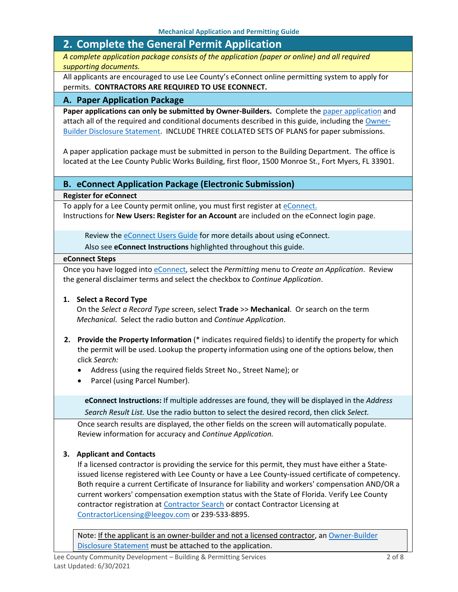## <span id="page-1-0"></span>**2. Complete the General Permit Application**

*A complete application package consists of the application (paper or online) and all required supporting documents.*

All applicants are encouraged to use Lee County's eConnect online permitting system to apply for permits. **CONTRACTORS ARE REQUIRED TO USE ECONNECT.**

### **A. Paper Application Package**

Paper applications can only be submitted by Owner-Builders. Complete the [paper application](https://www.leegov.com/dcd/PermittingDocs/TradePermitAppCreditCard.pdf) and attach all of the required and conditional documents described in this guide, including the [Owner-](https://www.leegov.com/dcd/PermittingDocs/OwnerBldrDisclosure.pdf)[Builder Disclosure Statement.](https://www.leegov.com/dcd/PermittingDocs/OwnerBldrDisclosure.pdf) INCLUDE THREE COLLATED SETS OF PLANS for paper submissions.

A paper application package must be submitted in person to the Building Department. The office is located at the Lee County Public Works Building, first floor, 1500 Monroe St., Fort Myers, FL 33901.

### **B. eConnect Application Package (Electronic Submission)**

**Register for eConnect**

To apply for a Lee County permit online, you must first register at [eConnect.](https://accelaaca.leegov.com/aca/) Instructions for **New Users: Register for an Account** are included on the eConnect login page.

Review th[e eConnect Users Guide](https://www.leegov.com/dcd/Documents/eServ/eConnect/eServicesGuide.pdf) for more details about using eConnect.

Also see **eConnect Instructions** highlighted throughout this guide.

#### **eConnect Steps**

Once you have logged into [eConnect,](https://accelaaca.leegov.com/aca/) select the *Permitting* menu to *Create an Application*. Review the general disclaimer terms and select the checkbox to *Continue Application*.

#### **1. Select a Record Type**

On the *Select a Record Type* screen, select **Trade** >> **Mechanical**. Or search on the term *Mechanical*. Select the radio button and *Continue Application*.

- **2. Provide the Property Information** (\* indicates required fields) to identify the property for which the permit will be used. Lookup the property information using one of the options below, then click *Search:*
	- Address (using the required fields Street No., Street Name); or
	- Parcel (using Parcel Number).

**eConnect Instructions:** If multiple addresses are found, they will be displayed in the *Address Search Result List.* Use the radio button to select the desired record, then click *Select.*

Once search results are displayed, the other fields on the screen will automatically populate. Review information for accuracy and *Continue Application.*

### **3. Applicant and Contacts**

If a licensed contractor is providing the service for this permit, they must have either a Stateissued license registered with Lee County or have a Lee County-issued certificate of competency. Both require a current Certificate of Insurance for liability and workers' compensation AND/OR a current workers' compensation exemption status with the State of Florida. Verify Lee County contractor registration at [Contractor Search](https://www.leegov.com/dcd/ContLic/ActCont) or contact Contractor Licensing at [ContractorLicensing@leegov.com](mailto:ContractorLicensing@leegov.com) or 239-533-8895.

Note: If the applicant is an owner-builder and not a licensed contractor, a[n Owner-Builder](https://www.leegov.com/dcd/PermittingDocs/OwnerBldrDisclosure.pdf)  [Disclosure Statement](https://www.leegov.com/dcd/PermittingDocs/OwnerBldrDisclosure.pdf) must be attached to the application.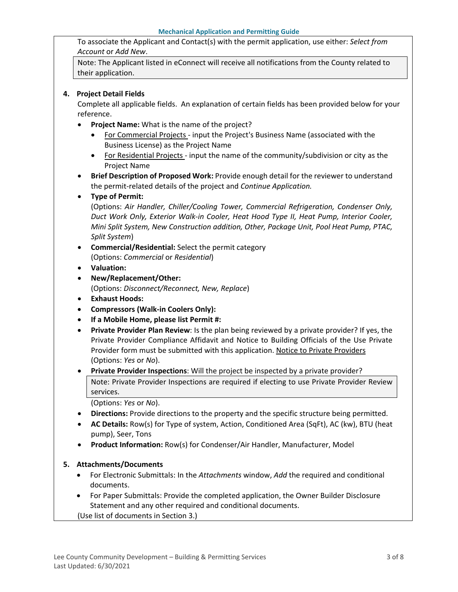To associate the Applicant and Contact(s) with the permit application, use either: *Select from Account* or *Add New*.

Note: The Applicant listed in eConnect will receive all notifications from the County related to their application.

#### **4. Project Detail Fields**

Complete all applicable fields. An explanation of certain fields has been provided below for your reference.

- **Project Name:** What is the name of the project?
	- For Commercial Projects input the Project's Business Name (associated with the Business License) as the Project Name
	- For Residential Projects input the name of the community/subdivision or city as the Project Name
- **Brief Description of Proposed Work:** Provide enough detail for the reviewer to understand the permit-related details of the project and *Continue Application.*
- **Type of Permit:**

(Options: *Air Handler, Chiller/Cooling Tower, Commercial Refrigeration, Condenser Only, Duct Work Only, Exterior Walk-in Cooler, Heat Hood Type II, Heat Pump, Interior Cooler, Mini Split System, New Construction addition, Other, Package Unit, Pool Heat Pump, PTAC, Split System*)

- **Commercial/Residential:** Select the permit category (Options: *Commercial* or *Residential*)
- **Valuation:**
- **New/Replacement/Other:**

(Options: *Disconnect/Reconnect, New, Replace*)

- **Exhaust Hoods:**
- **Compressors (Walk-in Coolers Only):**
- **If a Mobile Home, please list Permit #:**
- **Private Provider Plan Review**: Is the plan being reviewed by a private provider? If yes, the Private Provider Compliance Affidavit and Notice to Building Officials of the Use Private Provider form must be submitted with this application. [Notice to Private Providers](https://www.floridabuilding.org/fbc/committees/Private_Providers/Private_Providers.htm) (Options: *Yes* or *No*).
- **Private Provider Inspections**: Will the project be inspected by a private provider? Note: Private Provider Inspections are required if electing to use Private Provider Review services.

(Options: *Yes* or *No*).

- **Directions:** Provide directions to the property and the specific structure being permitted.
- **AC Details:** Row(s) for Type of system, Action, Conditioned Area (SqFt), AC (kw), BTU (heat pump), Seer, Tons
- **Product Information:** Row(s) for Condenser/Air Handler, Manufacturer, Model

#### **5. Attachments/Documents**

- For Electronic Submittals: In the *Attachments* window, *Add* the required and conditional documents.
- For Paper Submittals: Provide the completed application, the Owner Builder Disclosure Statement and any other required and conditional documents.
- (Use list of documents in Section 3.)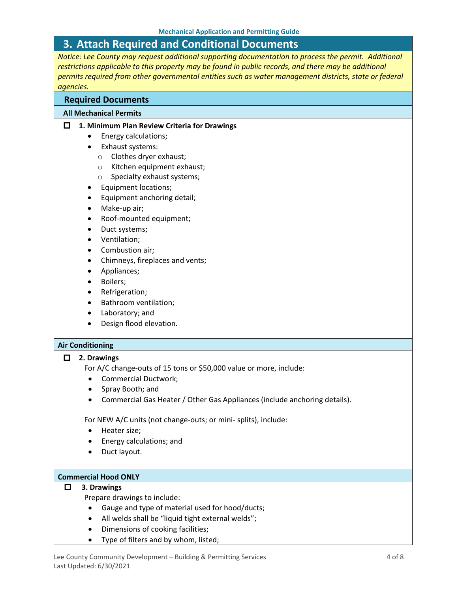# <span id="page-3-0"></span>**3. Attach Required and Conditional Documents**

*Notice: Lee County may request additional supporting documentation to process the permit. Additional restrictions applicable to this property may be found in public records, and there may be additional permits required from other governmental entities such as water management districts, state or federal agencies.*

#### **Required Documents**

#### **All Mechanical Permits**

#### **1. Minimum Plan Review Criteria for Drawings**

- Energy calculations;
- Exhaust systems:
	- o Clothes dryer exhaust;
	- o Kitchen equipment exhaust;
	- o Specialty exhaust systems;
- Equipment locations;
- Equipment anchoring detail;
- Make-up air;
- Roof-mounted equipment;
- Duct systems;
- Ventilation;
- Combustion air;
- Chimneys, fireplaces and vents;
- Appliances;
- Boilers;
- Refrigeration;
- Bathroom ventilation;
- Laboratory; and
- Design flood elevation.

#### **Air Conditioning**

#### **2. Drawings**

- For A/C change-outs of 15 tons or \$50,000 value or more, include:
- Commercial Ductwork;
- Spray Booth; and
- Commercial Gas Heater / Other Gas Appliances (include anchoring details).

For NEW A/C units (not change-outs; or mini- splits), include:

- Heater size;
- Energy calculations; and
- Duct layout.

#### **Commercial Hood ONLY**

#### **3. Drawings**

Prepare drawings to include:

- Gauge and type of material used for hood/ducts;
- All welds shall be "liquid tight external welds";
- Dimensions of cooking facilities;
- Type of filters and by whom, listed;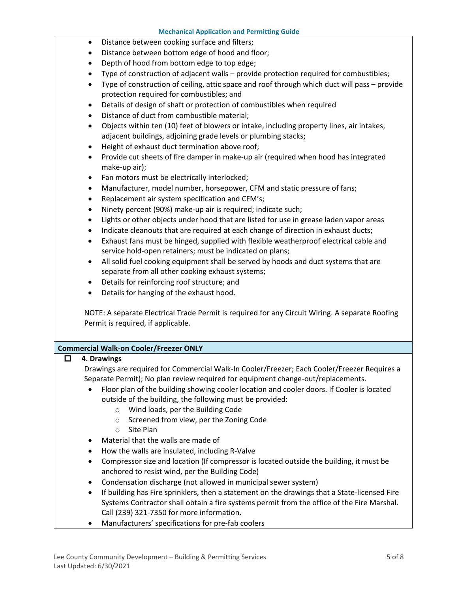- Distance between cooking surface and filters;
- Distance between bottom edge of hood and floor;
- Depth of hood from bottom edge to top edge;
- Type of construction of adjacent walls provide protection required for combustibles;
- Type of construction of ceiling, attic space and roof through which duct will pass provide protection required for combustibles; and
- Details of design of shaft or protection of combustibles when required
- Distance of duct from combustible material;
- Objects within ten (10) feet of blowers or intake, including property lines, air intakes, adjacent buildings, adjoining grade levels or plumbing stacks;
- Height of exhaust duct termination above roof;
- Provide cut sheets of fire damper in make-up air (required when hood has integrated make-up air);
- Fan motors must be electrically interlocked;
- Manufacturer, model number, horsepower, CFM and static pressure of fans;
- Replacement air system specification and CFM's;
- Ninety percent (90%) make-up air is required; indicate such;
- Lights or other objects under hood that are listed for use in grease laden vapor areas
- Indicate cleanouts that are required at each change of direction in exhaust ducts;
- Exhaust fans must be hinged, supplied with flexible weatherproof electrical cable and service hold-open retainers; must be indicated on plans;
- All solid fuel cooking equipment shall be served by hoods and duct systems that are separate from all other cooking exhaust systems;
- Details for reinforcing roof structure; and
- Details for hanging of the exhaust hood.

NOTE: A separate Electrical Trade Permit is required for any Circuit Wiring. A separate Roofing Permit is required, if applicable.

#### **Commercial Walk-on Cooler/Freezer ONLY**

#### **4. Drawings**

Drawings are required for Commercial Walk-In Cooler/Freezer; Each Cooler/Freezer Requires a Separate Permit); No plan review required for equipment change-out/replacements.

- Floor plan of the building showing cooler location and cooler doors. If Cooler is located outside of the building, the following must be provided:
	- o Wind loads, per the Building Code
	- o Screened from view, per the Zoning Code
	- o Site Plan
- Material that the walls are made of
- How the walls are insulated, including R-Valve
- Compressor size and location (If compressor is located outside the building, it must be anchored to resist wind, per the Building Code)
- Condensation discharge (not allowed in municipal sewer system)
- If building has Fire sprinklers, then a statement on the drawings that a State-licensed Fire Systems Contractor shall obtain a fire systems permit from the office of the Fire Marshal. Call (239) 321-7350 for more information.
- Manufacturers' specifications for pre-fab coolers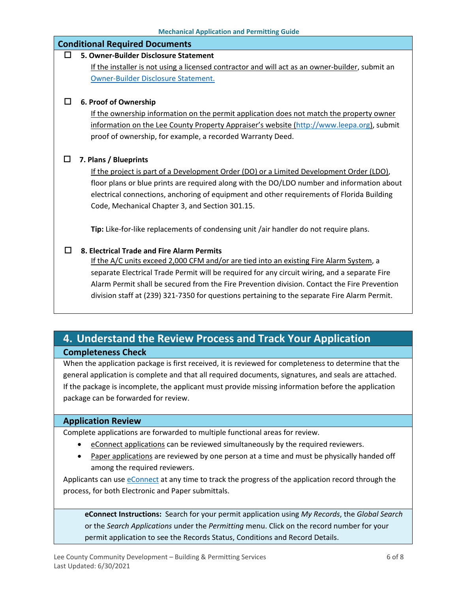| <b>Mechanical Application and Permitting Guide</b> |                                                                                                 |
|----------------------------------------------------|-------------------------------------------------------------------------------------------------|
| <b>Conditional Required Documents</b>              |                                                                                                 |
|                                                    | 5. Owner-Builder Disclosure Statement                                                           |
|                                                    | If the installer is not using a licensed contractor and will act as an owner-builder, submit an |
|                                                    | Owner-Builder Disclosure Statement.                                                             |
|                                                    |                                                                                                 |
|                                                    | 6. Proof of Ownership                                                                           |
|                                                    | If the ownership information on the permit application does not match the property owner        |
|                                                    | information on the Lee County Property Appraiser's website (http://www.leepa.org), submit       |
|                                                    | proof of ownership, for example, a recorded Warranty Deed.                                      |
|                                                    |                                                                                                 |
| $\mathsf{L}$                                       | 7. Plans / Blueprints                                                                           |
|                                                    | If the project is part of a Development Order (DO) or a Limited Development Order (LDO),        |
|                                                    | floor plans or blue prints are required along with the DO/LDO number and information about      |
|                                                    | electrical connections, anchoring of equipment and other requirements of Florida Building       |
|                                                    | Code, Mechanical Chapter 3, and Section 301.15.                                                 |
|                                                    |                                                                                                 |
|                                                    | Tip: Like-for-like replacements of condensing unit /air handler do not require plans.           |
|                                                    |                                                                                                 |
|                                                    | 8. Electrical Trade and Fire Alarm Permits                                                      |
|                                                    | If the A/C units exceed 2,000 CFM and/or are tied into an existing Fire Alarm System, a         |
|                                                    | separate Electrical Trade Permit will be required for any circuit wiring, and a separate Fire   |
|                                                    | Alarm Permit shall be secured from the Fire Prevention division. Contact the Fire Prevention    |
|                                                    | division staff at (239) 321-7350 for questions pertaining to the separate Fire Alarm Permit.    |
|                                                    |                                                                                                 |

# <span id="page-5-0"></span>**4. Understand the Review Process and Track Your Application Completeness Check**

When the application package is first received, it is reviewed for completeness to determine that the general application is complete and that all required documents, signatures, and seals are attached. If the package is incomplete, the applicant must provide missing information before the application package can be forwarded for review.

### **Application Review**

Complete applications are forwarded to multiple functional areas for review.

- eConnect applications can be reviewed simultaneously by the required reviewers.
- Paper applications are reviewed by one person at a time and must be physically handed off among the required reviewers.

Applicants can use [eConnect](https://accelaaca.leegov.com/aca/) at any time to track the progress of the application record through the process, for both Electronic and Paper submittals.

**eConnect Instructions:** Search for your permit application using *My Records*, the *Global Search* or the *Search Applications* under the *Permitting* menu. Click on the record number for your permit application to see the Records Status, Conditions and Record Details.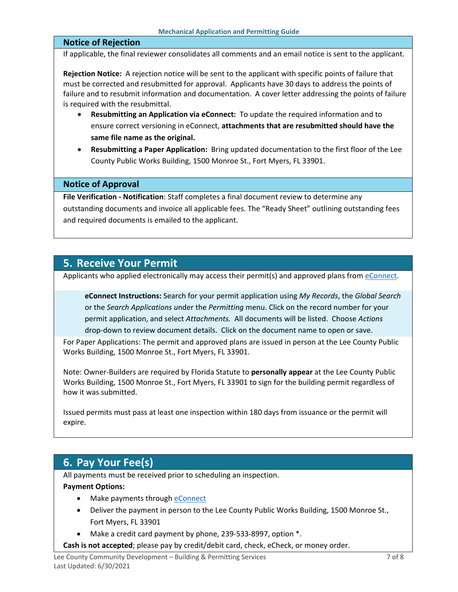#### **Notice of Rejection**

If applicable, the final reviewer consolidates all comments and an email notice is sent to the applicant.

**Rejection Notice:** A rejection notice will be sent to the applicant with specific points of failure that must be corrected and resubmitted for approval. Applicants have 30 days to address the points of failure and to resubmit information and documentation. A cover letter addressing the points of failure is required with the resubmittal.

- **Resubmitting an Application via eConnect:** To update the required information and to ensure correct versioning in eConnect, **attachments that are resubmitted should have the same file name as the original.**
- **Resubmitting a Paper Application:** Bring updated documentation to the first floor of the Lee County Public Works Building, 1500 Monroe St., Fort Myers, FL 33901.

#### **Notice of Approval**

**File Verification - Notification**: Staff completes a final document review to determine any outstanding documents and invoice all applicable fees. The "Ready Sheet" outlining outstanding fees and required documents is emailed to the applicant.

### <span id="page-6-0"></span>**5. Receive Your Permit**

Applicants who applied electronically may access their permit(s) and approved plans from [eConnect.](https://accelaaca.leegov.com/aca/)

**eConnect Instructions:** Search for your permit application using *My Records*, the *Global Search* or the *Search Applications u*nder the *Permitting* menu. Click on the record number for your permit application, and select *Attachments.* All documents will be listed. Choose *Actions*  drop-down to review document details. Click on the document name to open or save.

For Paper Applications: The permit and approved plans are issued in person at the Lee County Public Works Building, 1500 Monroe St., Fort Myers, FL 33901.

Note: Owner-Builders are required by Florida Statute to **personally appear** at the Lee County Public Works Building, 1500 Monroe St., Fort Myers, FL 33901 to sign for the building permit regardless of how it was submitted.

Issued permits must pass at least one inspection within 180 days from issuance or the permit will expire.

## <span id="page-6-1"></span>**6. Pay Your Fee(s)**

All payments must be received prior to scheduling an inspection.

#### **Payment Options:**

- Make payments through [eConnect](https://accelaaca.leegov.com/aca/)
- Deliver the payment in person to the Lee County Public Works Building, 1500 Monroe St., Fort Myers, FL 33901
- Make a credit card payment by phone, 239-533-8997, option \*.
- **Cash is not accepted**; please pay by credit/debit card, check, eCheck, or money order.